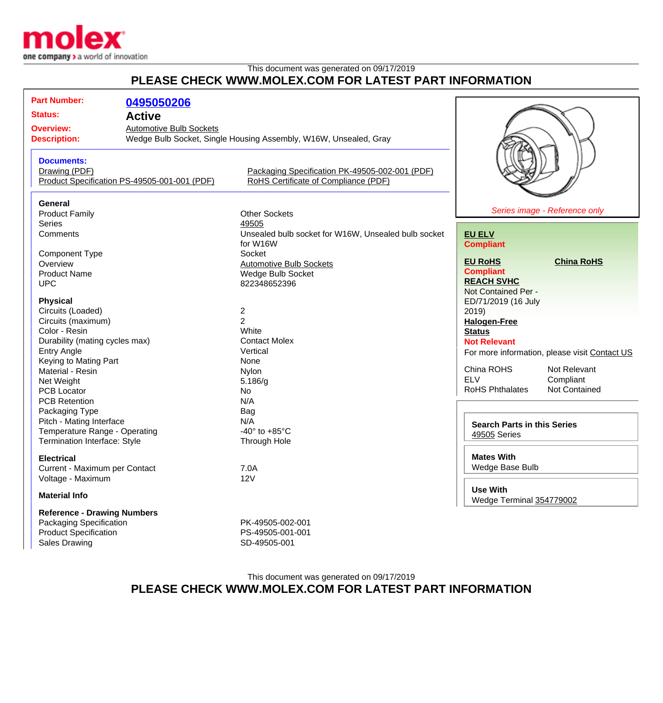

## This document was generated on 09/17/2019 **PLEASE CHECK WWW.MOLEX.COM FOR LATEST PART INFORMATION**

| <b>Part Number:</b><br><b>Status:</b><br><b>Overview:</b>                                                             | 0495050206<br><b>Active</b><br><b>Automotive Bulb Sockets</b> |                                                                                           |                                                                                                    |                                                                                             |
|-----------------------------------------------------------------------------------------------------------------------|---------------------------------------------------------------|-------------------------------------------------------------------------------------------|----------------------------------------------------------------------------------------------------|---------------------------------------------------------------------------------------------|
| <b>Description:</b>                                                                                                   |                                                               | Wedge Bulb Socket, Single Housing Assembly, W16W, Unsealed, Gray                          |                                                                                                    |                                                                                             |
| <b>Documents:</b><br>Drawing (PDF)                                                                                    | Product Specification PS-49505-001-001 (PDF)                  | Packaging Specification PK-49505-002-001 (PDF)<br>RoHS Certificate of Compliance (PDF)    |                                                                                                    |                                                                                             |
| General<br><b>Product Family</b><br><b>Series</b><br>Comments                                                         |                                                               | <b>Other Sockets</b><br>49505<br>Unsealed bulb socket for W16W, Unsealed bulb socket      | <b>EU ELV</b>                                                                                      | Series image - Reference only                                                               |
| <b>Component Type</b><br>Overview<br><b>Product Name</b><br><b>UPC</b>                                                |                                                               | for W16W<br>Socket<br><b>Automotive Bulb Sockets</b><br>Wedge Bulb Socket<br>822348652396 | <b>Compliant</b><br><b>EU RoHS</b><br><b>Compliant</b><br><b>REACH SVHC</b><br>Not Contained Per - | <b>China RoHS</b>                                                                           |
| <b>Physical</b><br>Circuits (Loaded)<br>Circuits (maximum)<br>Color - Resin<br>Durability (mating cycles max)         |                                                               | $\overline{\mathbf{c}}$<br>$\overline{2}$<br>White<br><b>Contact Molex</b>                | ED/71/2019 (16 July<br>2019)<br><b>Halogen-Free</b><br><b>Status</b><br><b>Not Relevant</b>        |                                                                                             |
| <b>Entry Angle</b><br>Keying to Mating Part<br>Material - Resin<br>Net Weight<br>PCB Locator<br><b>PCB Retention</b>  |                                                               | Vertical<br>None<br>Nylon<br>5.186/g<br>No<br>N/A                                         | China ROHS<br><b>ELV</b><br><b>RoHS Phthalates</b>                                                 | For more information, please visit Contact US<br>Not Relevant<br>Compliant<br>Not Contained |
| Packaging Type<br>Pitch - Mating Interface<br>Temperature Range - Operating<br>Termination Interface: Style           |                                                               | Bag<br>N/A<br>-40 $\degree$ to +85 $\degree$ C<br>Through Hole                            | <b>Search Parts in this Series</b><br>49505 Series                                                 |                                                                                             |
| <b>Electrical</b><br>Current - Maximum per Contact<br>Voltage - Maximum                                               |                                                               | 7.0A<br>12V                                                                               | <b>Mates With</b><br>Wedge Base Bulb<br><b>Use With</b>                                            |                                                                                             |
| <b>Material Info</b>                                                                                                  |                                                               |                                                                                           | Wedge Terminal 354779002                                                                           |                                                                                             |
| <b>Reference - Drawing Numbers</b><br>Packaging Specification<br><b>Product Specification</b><br><b>Sales Drawing</b> |                                                               | PK-49505-002-001<br>PS-49505-001-001<br>SD-49505-001                                      |                                                                                                    |                                                                                             |

## This document was generated on 09/17/2019 **PLEASE CHECK WWW.MOLEX.COM FOR LATEST PART INFORMATION**